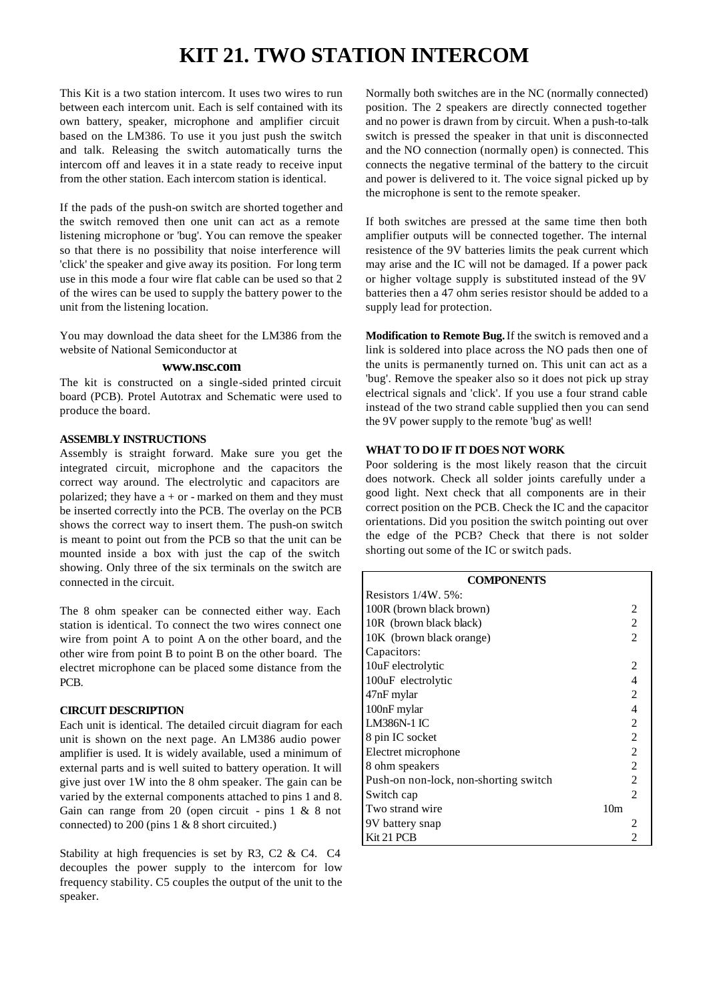# **KIT 21. TWO STATION INTERCOM**

This Kit is a two station intercom. It uses two wires to run between each intercom unit. Each is self contained with its own battery, speaker, microphone and amplifier circuit based on the LM386. To use it you just push the switch and talk. Releasing the switch automatically turns the intercom off and leaves it in a state ready to receive input from the other station. Each intercom station is identical.

If the pads of the push-on switch are shorted together and the switch removed then one unit can act as a remote listening microphone or 'bug'. You can remove the speaker so that there is no possibility that noise interference will 'click' the speaker and give away its position. For long term use in this mode a four wire flat cable can be used so that 2 of the wires can be used to supply the battery power to the unit from the listening location.

You may download the data sheet for the LM386 from the website of National Semiconductor at

#### **www.nsc.com**

The kit is constructed on a single-sided printed circuit board (PCB). Protel Autotrax and Schematic were used to produce the board.

## **ASSEMBLY INSTRUCTIONS**

Assembly is straight forward. Make sure you get the integrated circuit, microphone and the capacitors the correct way around. The electrolytic and capacitors are polarized; they have  $a + or$  - marked on them and they must be inserted correctly into the PCB. The overlay on the PCB shows the correct way to insert them. The push-on switch is meant to point out from the PCB so that the unit can be mounted inside a box with just the cap of the switch showing. Only three of the six terminals on the switch are connected in the circuit.

The 8 ohm speaker can be connected either way. Each station is identical. To connect the two wires connect one wire from point A to point A on the other board, and the other wire from point B to point B on the other board. The electret microphone can be placed some distance from the PCB.

## **CIRCUIT DESCRIPTION**

Each unit is identical. The detailed circuit diagram for each unit is shown on the next page. An LM386 audio power amplifier is used. It is widely available, used a minimum of external parts and is well suited to battery operation. It will give just over 1W into the 8 ohm speaker. The gain can be varied by the external components attached to pins 1 and 8. Gain can range from 20 (open circuit - pins  $1 \& 8$  not connected) to 200 (pins 1 & 8 short circuited.)

Stability at high frequencies is set by R3, C2 & C4. C4 decouples the power supply to the intercom for low frequency stability. C5 couples the output of the unit to the speaker.

Normally both switches are in the NC (normally connected) position. The 2 speakers are directly connected together and no power is drawn from by circuit. When a push-to-talk switch is pressed the speaker in that unit is disconnected and the NO connection (normally open) is connected. This connects the negative terminal of the battery to the circuit and power is delivered to it. The voice signal picked up by the microphone is sent to the remote speaker.

If both switches are pressed at the same time then both amplifier outputs will be connected together. The internal resistence of the 9V batteries limits the peak current which may arise and the IC will not be damaged. If a power pack or higher voltage supply is substituted instead of the 9V batteries then a 47 ohm series resistor should be added to a supply lead for protection.

**Modification to Remote Bug.** If the switch is removed and a link is soldered into place across the NO pads then one of the units is permanently turned on. This unit can act as a 'bug'. Remove the speaker also so it does not pick up stray electrical signals and 'click'. If you use a four strand cable instead of the two strand cable supplied then you can send the 9V power supply to the remote 'bug' as well!

### **WHAT TO DO IF IT DOES NOT WORK**

Poor soldering is the most likely reason that the circuit does notwork. Check all solder joints carefully under a good light. Next check that all components are in their correct position on the PCB. Check the IC and the capacitor orientations. Did you position the switch pointing out over the edge of the PCB? Check that there is not solder shorting out some of the IC or switch pads.

| <b>COMPONENTS</b>                     |                             |
|---------------------------------------|-----------------------------|
| Resistors $1/4W. 5\%$ :               |                             |
| 100R (brown black brown)              | 2                           |
| 10R (brown black black)               | $\overline{c}$              |
| 10K (brown black orange)              | $\mathfrak{D}$              |
| Capacitors:                           |                             |
| 10uF electrolytic                     | $\overline{c}$              |
| 100uF electrolytic                    | 4                           |
| 47nF mylar                            | $\mathfrak{D}$              |
| 100nF mylar                           | 4                           |
| <b>LM386N-1 IC</b>                    | 2                           |
| 8 pin IC socket                       | $\overline{c}$              |
| Electret microphone                   | $\overline{c}$              |
| 8 ohm speakers                        | $\overline{c}$              |
| Push-on non-lock, non-shorting switch | 2                           |
| Switch cap                            | $\mathcal{D}_{\mathcal{A}}$ |
| Two strand wire                       | 10 <sub>m</sub>             |
| 9V battery snap                       |                             |
| Kit 21 PCB                            |                             |